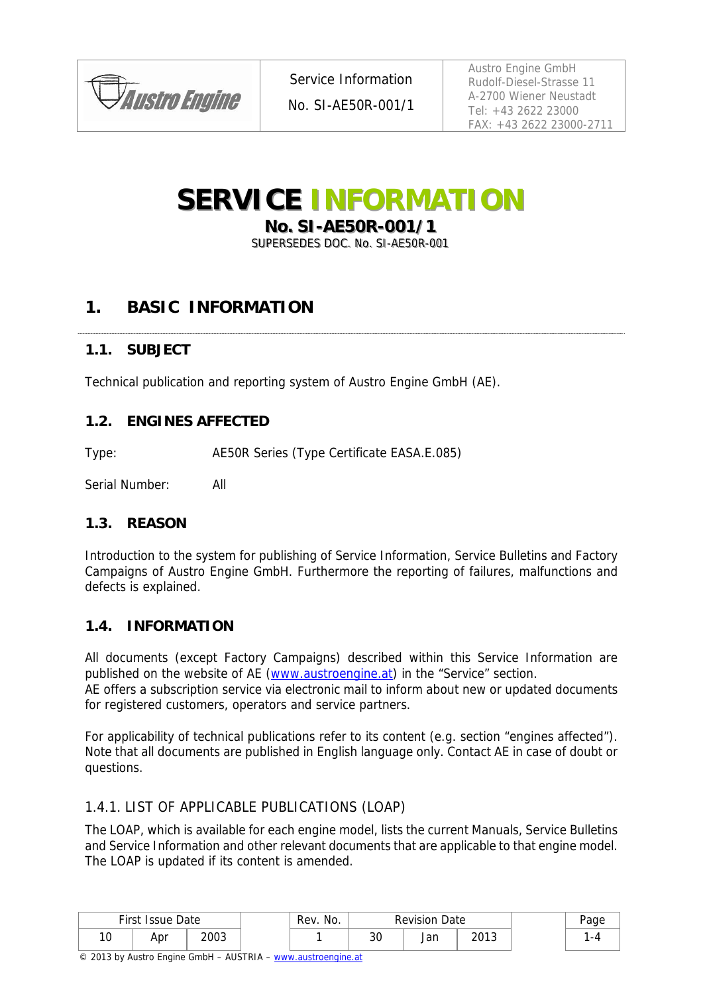

Service Information

No. SI-AE50R-001/1

Austro Engine GmbH Rudolf-Diesel-Strasse 11 A-2700 Wiener Neustadt Tel: +43 2622 23000 FAX: +43 2622 23000-2711

# **SERVICE INFORMATION**

**No. SI-AE50R-001/1** 

SUPERSEDES DOC. No. SI-AE50R-001

# **1. BASIC INFORMATION**

### **1.1. SUBJECT**

Technical publication and reporting system of Austro Engine GmbH (AE).

### **1.2. ENGINES AFFECTED**

Type: AE50R Series (Type Certificate EASA.E.085)

Serial Number: All

### **1.3. REASON**

Introduction to the system for publishing of Service Information, Service Bulletins and Factory Campaigns of Austro Engine GmbH. Furthermore the reporting of failures, malfunctions and defects is explained.

### **1.4. INFORMATION**

All documents (except Factory Campaigns) described within this Service Information are published on the website of AE (www.austroengine.at) in the "Service" section.

AE offers a subscription service via electronic mail to inform about new or updated documents for registered customers, operators and service partners.

For applicability of technical publications refer to its content (e.g. section "engines affected"). Note that all documents are published in English language only. Contact AE in case of doubt or questions.

### 1.4.1. LIST OF APPLICABLE PUBLICATIONS (LOAP)

The LOAP, which is available for each engine model, lists the current Manuals, Service Bulletins and Service Information and other relevant documents that are applicable to that engine model. The LOAP is updated if its content is amended.

| First<br>Issue Date |     | Rev. No. | <b>Revision Date</b> |  |           | Page |               |     |
|---------------------|-----|----------|----------------------|--|-----------|------|---------------|-----|
| 1 C<br>◡            | Apr | 2003     |                      |  | n c<br>ას | Jan  | วกาว<br>د ۱ ت | - 4 |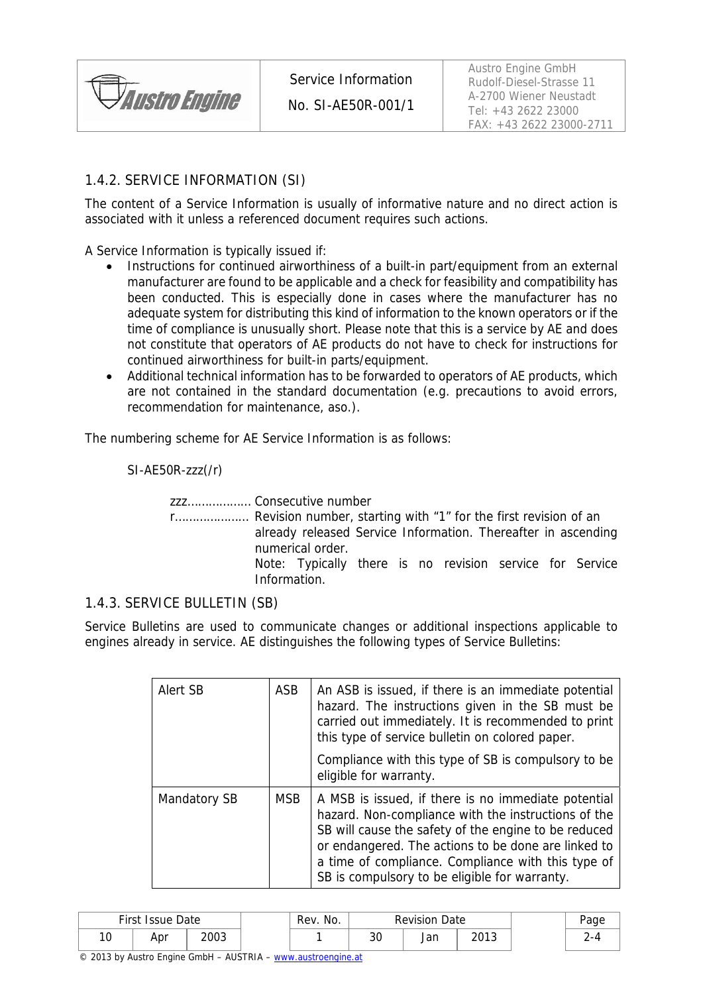

No. SI-AE50R-001/1

## 1.4.2. SERVICE INFORMATION (SI)

The content of a Service Information is usually of informative nature and no direct action is associated with it unless a referenced document requires such actions.

A Service Information is typically issued if:

- Instructions for continued airworthiness of a built-in part/equipment from an external manufacturer are found to be applicable and a check for feasibility and compatibility has been conducted. This is especially done in cases where the manufacturer has no adequate system for distributing this kind of information to the known operators or if the time of compliance is unusually short. Please note that this is a service by AE and does not constitute that operators of AE products do not have to check for instructions for continued airworthiness for built-in parts/equipment.
- Additional technical information has to be forwarded to operators of AE products, which are not contained in the standard documentation (e.g. precautions to avoid errors, recommendation for maintenance, aso.).

The numbering scheme for AE Service Information is as follows:

SI-AE50R-zzz(/r)

zzz……………… Consecutive number

r………………… Revision number, starting with "1" for the first revision of an already released Service Information. Thereafter in ascending numerical order. Note: Typically there is no revision service for Service Information.

### 1.4.3. SERVICE BULLETIN (SB)

Service Bulletins are used to communicate changes or additional inspections applicable to engines already in service. AE distinguishes the following types of Service Bulletins:

| Alert SB     | ASB        | An ASB is issued, if there is an immediate potential<br>hazard. The instructions given in the SB must be<br>carried out immediately. It is recommended to print<br>this type of service bulletin on colored paper.<br>Compliance with this type of SB is compulsory to be<br>eligible for warranty.                              |
|--------------|------------|----------------------------------------------------------------------------------------------------------------------------------------------------------------------------------------------------------------------------------------------------------------------------------------------------------------------------------|
| Mandatory SB | <b>MSB</b> | A MSB is issued, if there is no immediate potential<br>hazard. Non-compliance with the instructions of the<br>SB will cause the safety of the engine to be reduced<br>or endangered. The actions to be done are linked to<br>a time of compliance. Compliance with this type of<br>SB is compulsory to be eligible for warranty. |

| First Issue Date |     | Rev. No. | <b>Revision Date</b> |         |     | Page |  |
|------------------|-----|----------|----------------------|---------|-----|------|--|
| 10               | Apr | 2003     |                      | ົ<br>υc | Jan | 2013 |  |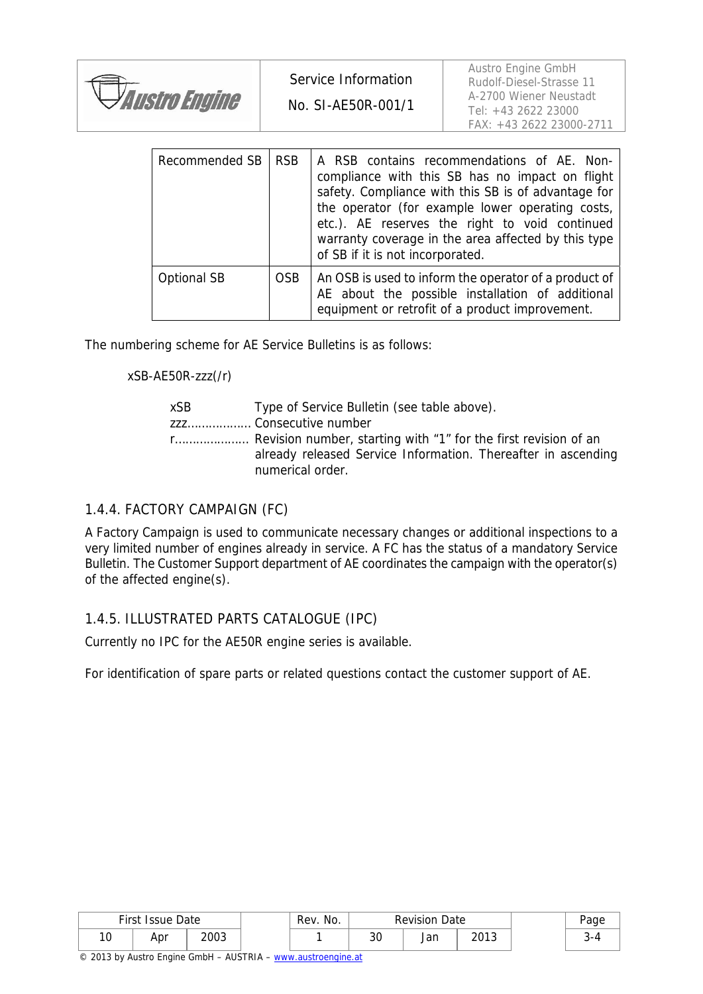|                      | Service Information | Austro Engine GmbH<br>Rudolf-Diesel-Strasse 11                                |
|----------------------|---------------------|-------------------------------------------------------------------------------|
| <b>Austro Engine</b> | No. SI-AE50R-001/1  | A-2700 Wiener Neustadt<br>Tel: +43 2622 23000<br>$FAX: +43, 2622, 23000-2711$ |

| Recommended SB     | <b>RSB</b> | A RSB contains recommendations of AE. Non-<br>compliance with this SB has no impact on flight<br>safety. Compliance with this SB is of advantage for<br>the operator (for example lower operating costs,<br>etc.). AE reserves the right to void continued<br>warranty coverage in the area affected by this type<br>of SB if it is not incorporated. |
|--------------------|------------|-------------------------------------------------------------------------------------------------------------------------------------------------------------------------------------------------------------------------------------------------------------------------------------------------------------------------------------------------------|
| <b>Optional SB</b> | <b>OSB</b> | An OSB is used to inform the operator of a product of<br>AE about the possible installation of additional<br>equipment or retrofit of a product improvement.                                                                                                                                                                                          |

The numbering scheme for AE Service Bulletins is as follows:

xSB-AE50R-zzz(/r)

| xSB | Type of Service Bulletin (see table above).                                       |
|-----|-----------------------------------------------------------------------------------|
|     | zzz Consecutive number                                                            |
|     | already released Service Information. Thereafter in ascending<br>numerical order. |

#### 1.4.4. FACTORY CAMPAIGN (FC)

A Factory Campaign is used to communicate necessary changes or additional inspections to a very limited number of engines already in service. A FC has the status of a mandatory Service Bulletin. The Customer Support department of AE coordinates the campaign with the operator(s) of the affected engine(s).

#### 1.4.5. ILLUSTRATED PARTS CATALOGUE (IPC)

Currently no IPC for the AE50R engine series is available.

For identification of spare parts or related questions contact the customer support of AE.

|            | First Issue Date<br>Rev. No.<br><b>Revision Date</b> |      | Page |  |          |     |      |  |
|------------|------------------------------------------------------|------|------|--|----------|-----|------|--|
| 1 O<br>ט ו | Apr                                                  | 2003 |      |  | ົດ<br>ა∪ | Jan | 2013 |  |